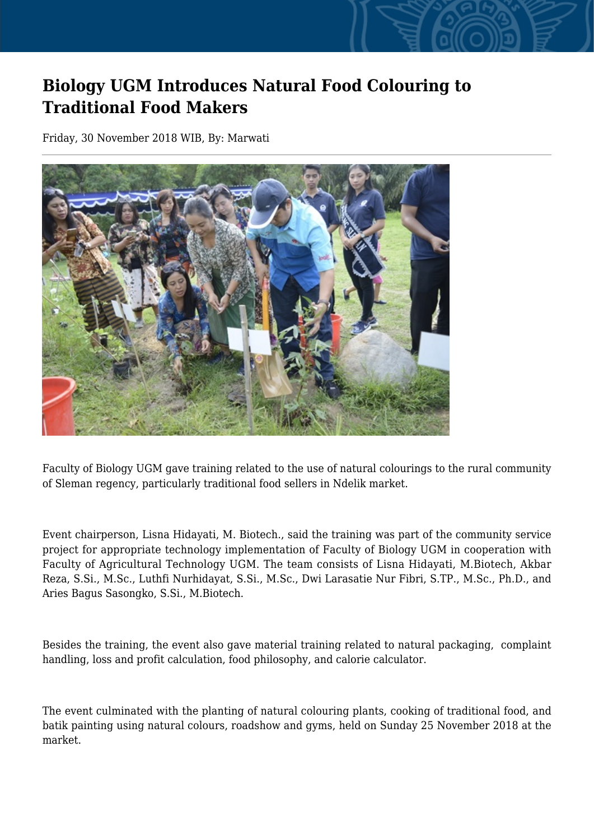## **Biology UGM Introduces Natural Food Colouring to Traditional Food Makers**

Friday, 30 November 2018 WIB, By: Marwati



Faculty of Biology UGM gave training related to the use of natural colourings to the rural community of Sleman regency, particularly traditional food sellers in Ndelik market.

Event chairperson, Lisna Hidayati, M. Biotech., said the training was part of the community service project for appropriate technology implementation of Faculty of Biology UGM in cooperation with Faculty of Agricultural Technology UGM. The team consists of Lisna Hidayati, M.Biotech, Akbar Reza, S.Si., M.Sc., Luthfi Nurhidayat, S.Si., M.Sc., Dwi Larasatie Nur Fibri, S.TP., M.Sc., Ph.D., and Aries Bagus Sasongko, S.Si., M.Biotech.

Besides the training, the event also gave material training related to natural packaging, complaint handling, loss and profit calculation, food philosophy, and calorie calculator.

The event culminated with the planting of natural colouring plants, cooking of traditional food, and batik painting using natural colours, roadshow and gyms, held on Sunday 25 November 2018 at the market.